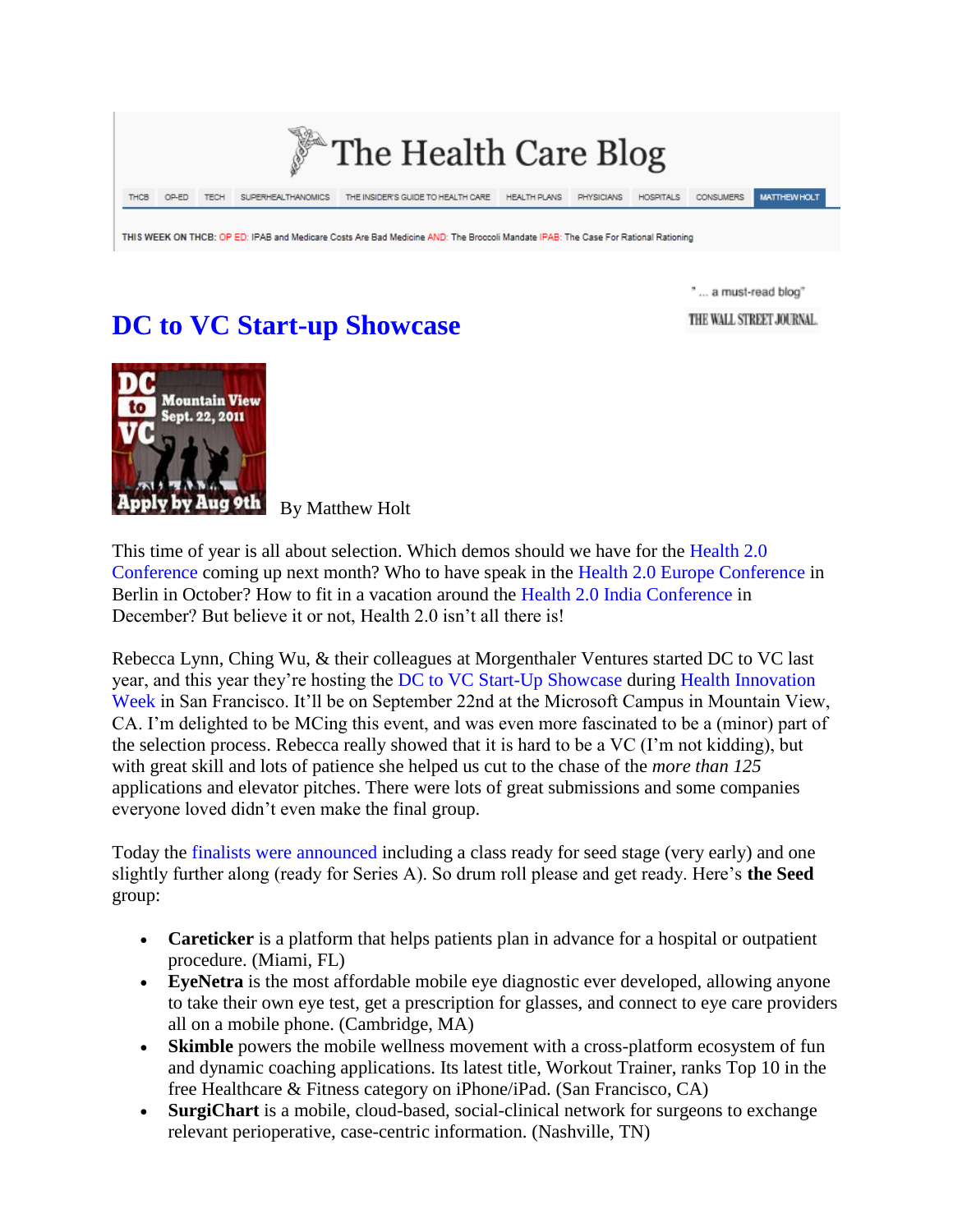

THIS WEEK ON THCB: OP ED: IPAB and Medicare Costs Are Bad Medicine AND: The Broccoli Mandate IPAB: The Case For Rational Rationing

## **DC to VC Start-up Showcase**

" ... a must-read blog"

THE WALL STREET JOURNAL.



By Matthew Holt

This time of year is all about selection. Which demos should we have for the Health 2.0 Conference coming up next month? Who to have speak in the Health 2.0 Europe Conference in Berlin in October? How to fit in a vacation around the Health 2.0 India Conference in December? But believe it or not, Health 2.0 isn't all there is!

Rebecca Lynn, Ching Wu, & their colleagues at Morgenthaler Ventures started DC to VC last year, and this year they're hosting the DC to VC Start-Up Showcase during Health Innovation Week in San Francisco. It'll be on September 22nd at the Microsoft Campus in Mountain View, CA. I'm delighted to be MCing this event, and was even more fascinated to be a (minor) part of the selection process. Rebecca really showed that it is hard to be a VC (I'm not kidding), but with great skill and lots of patience she helped us cut to the chase of the *more than 125* applications and elevator pitches. There were lots of great submissions and some companies everyone loved didn't even make the final group.

Today the finalists were announced including a class ready for seed stage (very early) and one slightly further along (ready for Series A). So drum roll please and get ready. Here's **the Seed**  group:

- **Careticker** is a platform that helps patients plan in advance for a hospital or outpatient procedure. (Miami, FL)
- **EyeNetra** is the most affordable mobile eye diagnostic ever developed, allowing anyone to take their own eye test, get a prescription for glasses, and connect to eye care providers all on a mobile phone. (Cambridge, MA)
- **Skimble** powers the mobile wellness movement with a cross-platform ecosystem of fun and dynamic coaching applications. Its latest title, Workout Trainer, ranks Top 10 in the free Healthcare & Fitness category on iPhone/iPad. (San Francisco, CA)
- **SurgiChart** is a mobile, cloud-based, social-clinical network for surgeons to exchange relevant perioperative, case-centric information. (Nashville, TN)